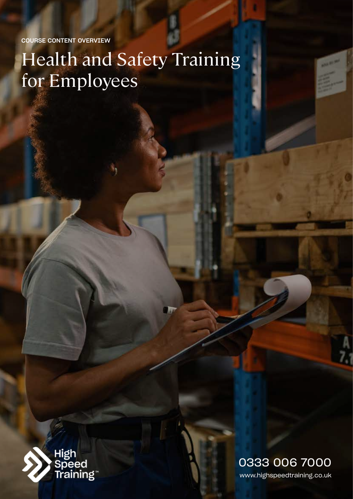COURSE CONTENT OVERVIEW

# Health and Safety Training for Employees



www.highspeedtraining.co.uk 0333 006 7000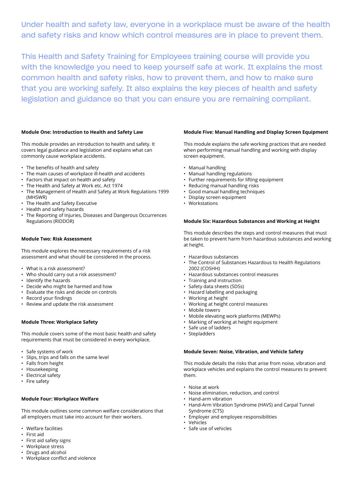Under health and safety law, everyone in a workplace must be aware of the health and safety risks and know which control measures are in place to prevent them.

This Health and Safety Training for Employees training course will provide you with the knowledge you need to keep yourself safe at work. It explains the most common health and safety risks, how to prevent them, and how to make sure that you are working safely. It also explains the key pieces of health and safety legislation and guidance so that you can ensure you are remaining compliant.

# **Module One: Introduction to Health and Safety Law**

This module provides an introduction to health and safety. It covers legal guidance and legislation and explains what can commonly cause workplace accidents.

- The benefits of health and safety
- The main causes of workplace ill-health and accidents
- Factors that impact on health and safety
- The Health and Safety at Work etc. Act 1974
- The Management of Health and Safety at Work Regulations 1999 (MHSWR)
- The Health and Safety Executive
- Health and safety hazards
- The Reporting of Injuries, Diseases and Dangerous Occurrences Regulations (RIDDOR)

# **Module Two: Risk Assessment**

This module explores the necessary requirements of a risk assessment and what should be considered in the process.

- What is a risk assessment?
- Who should carry out a risk assessment?
- Identify the hazards
- Decide who might be harmed and how
- Evaluate the risks and decide on controls
- Record your findings
- Review and update the risk assessment

# **Module Three: Workplace Safety**

This module covers some of the most basic health and safety requirements that must be considered in every workplace.

- Safe systems of work
- Slips, trips and falls on the same level
- Falls from height
- Housekeeping
- Electrical safety
- Fire safety

# **Module Four: Workplace Welfare**

This module outlines some common welfare considerations that all employers must take into account for their workers.

- Welfare facilities
- First aid
- First aid safety signs
- Workplace stress
- Drugs and alcohol
- Workplace conflict and violence

## **Module Five: Manual Handling and Display Screen Equipment**

This module explains the safe working practices that are needed when performing manual handling and working with display screen equipment.

- Manual handling
- Manual handling regulations
- Further requirements for lifting equipment
- Reducing manual handling risks
- Good manual handling techniques
- Display screen equipment
- Workstations

## **Module Six: Hazardous Substances and Working at Height**

This module describes the steps and control measures that must be taken to prevent harm from hazardous substances and working at height.

- Hazardous substances
- The Control of Substances Hazardous to Health Regulations 2002 (COSHH)
- Hazardous substances control measures
- Training and instruction
- Safety data sheets (SDSs)
- Hazard labelling and packaging
- Working at height
- Working at height control measures
- Mobile towers
- Mobile elevating work platforms (MEWPs)
- Marking of working at height equipment
- Safe use of ladders
- Stepladders

#### **Module Seven: Noise, Vibration, and Vehicle Safety**

This module details the risks that arise from noise, vibration and workplace vehicles and explains the control measures to prevent them.

- Noise at work
- Noise elimination, reduction, and control
- Hand-arm vibration
- Hand-Arm Vibration Syndrome (HAVS) and Carpal Tunnel Syndrome (CTS)
- Employer and employee responsibilities
- Vehicles
- Safe use of vehicles